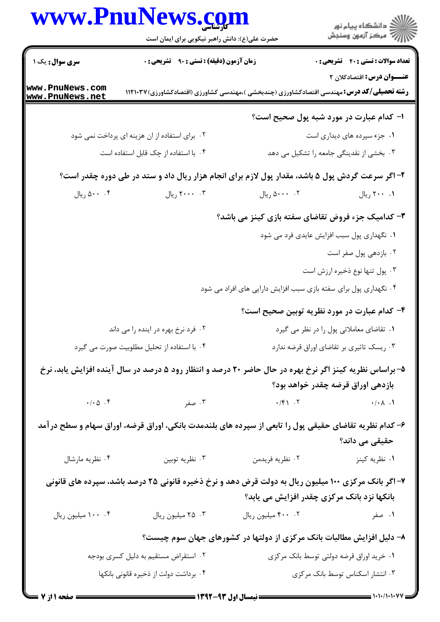|                                       | www.PnuNews.com                                                                                         |                                                                       | ڪ دانشڪاه پيام نور<br>/7 مرڪز آزمون وسنڊش    |
|---------------------------------------|---------------------------------------------------------------------------------------------------------|-----------------------------------------------------------------------|----------------------------------------------|
|                                       | حضرت علی(ع): دانش راهبر نیکویی برای ایمان است                                                           |                                                                       |                                              |
| <b>سری سوال :</b> یک ۱                | <b>زمان آزمون (دقیقه) : تستی : ۹۰٪ تشریحی : 0</b>                                                       |                                                                       | <b>تعداد سوالات : تستی : 40 - تشریحی : 0</b> |
| www.PnuNews.com<br>www.PnuNews.net    | <b>رشته تحصیلی/کد درس:</b> مهندسی اقتصادکشاورزی (چندبخشی )،مهندسی کشاورزی (اقتصادکشاورزی)۱۲۱۰۳۷         |                                                                       | <b>عنـــوان درس:</b> اقتصادکلان ۲            |
|                                       |                                                                                                         |                                                                       | ا- کدام عبارت در مورد شبه پول صحیح است؟      |
|                                       | ۰۲ برای استفاده از ان هزینه ای پرداخت نمی شود                                                           |                                                                       | ۰۱ جزء سپرده های دیداری است                  |
|                                       | ۰۴ با استفاده از چک قابل استفاده است                                                                    |                                                                       | ۰۳ بخشی از نقدینگی جامعه را تشکیل می دهد     |
|                                       | ۲- اگر سرعت گردش پول ۵ باشد، مقدار پول لازم برای انجام هزار ریال داد و ستد در طی دوره چقدر است؟         |                                                                       |                                              |
| ۰۰ . ۵۰۰ ريال                         | ٢٠٠٠ ريال                                                                                               | ۰۰، ۵۰۰۰ ریال                                                         | ۰. ۲۰۰ ريال                                  |
|                                       |                                                                                                         | ۳- کدامیک جزء فروض تقاضای سفته بازی کینز می باشد؟                     |                                              |
|                                       |                                                                                                         |                                                                       | ۰۱ نگهداری پول سبب افزایش عایدی فرد می شود   |
|                                       |                                                                                                         |                                                                       | ۰۲ بازدهی پول صفر است                        |
|                                       |                                                                                                         |                                                                       | ۰۳ پول تنها نوع ذخیره ارزش است               |
|                                       |                                                                                                         | ۰۴ نگهداری پول برای سفته بازی سبب افزایش دارایی های افراد می شود      |                                              |
|                                       |                                                                                                         |                                                                       | ۴- کدام عبارت در مورد نظریه توبین صحیح است؟  |
|                                       | ۰۲ فرد نرخ بهره در اینده را می داند                                                                     |                                                                       | ٠١ تقاضاي معاملاتي پول را در نظر مي گيرد     |
|                                       | ۰۴ با استفاده از تحلیل مطلوبیت صورت می گیرد                                                             |                                                                       | ۰۳ ریسک تاثیری بر تقاضای اوراق قرضه ندارد    |
|                                       | ۵– براساس نظریه کینز اگر نرخ بهره در حال حاضر ۲۰ درصد و انتظار رود ۵ درصد در سال آینده افزایش یابد، نرخ |                                                                       |                                              |
|                                       |                                                                                                         |                                                                       | بازدهی اوراق قرضه چقدر خواهد بود؟            |
|                                       | ۰/۰۵ ۰۴ ۰/۴۱ ۰/۴۱ ۰/۴۱ مفر $\cdot$ ۰/۴۱ ۰/ش ۰/۰۵ ۰۴                                                     |                                                                       |                                              |
|                                       | ۶– کدام نظریه تقاضای حقیقی پول را تابعی از سپرده های بلندمدت بانکی، اوراق قرضه، اوراق سهام و سطح درآمد  |                                                                       |                                              |
|                                       |                                                                                                         |                                                                       | حقیقی می داند؟                               |
| ۰۴ نظریه مارشال                       | ۰۳ نظریه توبین                                                                                          | ۰۲ نظريه فريدمن                                                       | ۰۱ نظریه کینز                                |
|                                       | ۷- اگر بانک مرکزی ۱۰۰ میلیون ریال به دولت قرض دهد و نرخ ذخیره قانونی ۲۵ درصد باشد، سپرده های قانونی     |                                                                       |                                              |
|                                       |                                                                                                         | بانکها نزد بانک مرکزی چقدر افزایش می یابد؟                            |                                              |
| ۰۰ . ۱۰۰ میلیون ریال                  | ۰۳ میلیون ریال                                                                                          | ۰۲ میلیون ریال                                                        | ۰ <b>۱ - صفر</b> است.                        |
|                                       |                                                                                                         | ۸– دلیل افزایش مطالبات بانک مرکزی از دولتها در کشورهای جهان سوم چیست؟ |                                              |
|                                       | ۰۲ استقراض مستقیم به دلیل کسری بودجه                                                                    |                                                                       | ۰۱ خرید اوراق قرضه دولتی توسط بانک مرکزی     |
| ۰۴ برداشت دولت از ذخیره قانونی بانکها |                                                                                                         |                                                                       | ۰۳ انتشار اسکناس توسط بانک مرکزی             |

 $1 - 1 - 11 - 1$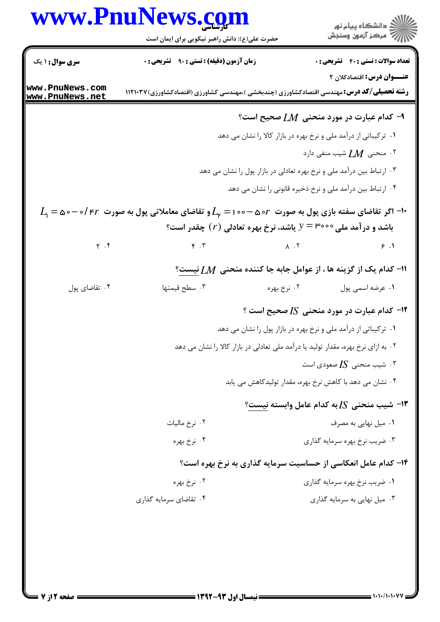|                                    | www.PnuNews.com                                                                                                                                                                                                                                                                                    |                                                                                   | ر دانشگاه پيام نور<br>دانشگاه پيام نور                                    |
|------------------------------------|----------------------------------------------------------------------------------------------------------------------------------------------------------------------------------------------------------------------------------------------------------------------------------------------------|-----------------------------------------------------------------------------------|---------------------------------------------------------------------------|
|                                    | حضرت علی(ع): دانش راهبر نیکویی برای ایمان است                                                                                                                                                                                                                                                      |                                                                                   |                                                                           |
| <b>سری سوال : ۱ یک</b>             | <b>زمان آزمون (دقیقه) : تستی : ۹۰ تشریحی : 0</b>                                                                                                                                                                                                                                                   |                                                                                   | <b>تعداد سوالات : تستی : 40 - تشریحی : 0</b>                              |
| www.PnuNews.com<br>www.PnuNews.net | <b>رشته تحصیلی/کد درس:</b> مهندسی اقتصادکشاورزی (چندبخشی )،مهندسی کشاورزی (اقتصادکشاورزی) ۱۱۲۱۰۳۷                                                                                                                                                                                                  |                                                                                   | عنــوان درس: اقتصادکلان ۲                                                 |
|                                    |                                                                                                                                                                                                                                                                                                    |                                                                                   | ۹− کدام عبارت در مورد منحنی $\emph{LM}$ صحیح است؟                         |
|                                    |                                                                                                                                                                                                                                                                                                    | <b>۱</b> .  ترکیباتی از درآمد ملی و نرخ بهره در بازار کالا را نشان می دهد         |                                                                           |
|                                    |                                                                                                                                                                                                                                                                                                    |                                                                                   | ۰۲ منحنی $\,M$ شیب منفی دارد                                              |
|                                    |                                                                                                                                                                                                                                                                                                    | ۰۳ ارتباط بین درآمد ملی و نرخ بهره تعادلی در بازار پول را نشان می دهد             |                                                                           |
|                                    |                                                                                                                                                                                                                                                                                                    | ۰۴ ارتباط بین درآمد ملی و نرخ ذخیره قانونی را نشان می دهد                         |                                                                           |
|                                    | $L_{\!\scriptscriptstyle 1}$ اگر تقاضای سفته بازی پول به صورت $\, \sigma$ ه $\, - \circ - \circ - L_{\!\scriptscriptstyle 1} = L_{\!\scriptscriptstyle 1} = L_{\!\scriptscriptstyle 1} = L_{\!\scriptscriptstyle 1} = 1$ او تقاضای معاملاتی پول به صورت $\, \tau$ ۲ / - $\, \sigma$ ه $\, - \circ$ | باشد و در آمد ملی ۳۰۰۰ = y یاشد، نرخ بهره تعادلی $(r)$ چقدر است؟                  |                                                                           |
| $\mathbf{Y}$ . $\mathbf{Y}$        |                                                                                                                                                                                                                                                                                                    | $\gamma$ . T $\gamma$ . T $\gamma$ . T                                            |                                                                           |
|                                    |                                                                                                                                                                                                                                                                                                    |                                                                                   | $10$ - کدام یک از گزینه ها ، از عوامل جابه جا کننده منحنی $L M$ نیست $\,$ |
| ۰۴ تقاضای پول                      | ۰۳ سطح قیمتها                                                                                                                                                                                                                                                                                      | ۰۲ نرخ بهره                                                                       | ٠١ عرضه اسمي پول                                                          |
|                                    |                                                                                                                                                                                                                                                                                                    |                                                                                   | ۱۲- کدام عبارت در مورد منحنی <i>IS صح</i> یح است ؟                        |
|                                    |                                                                                                                                                                                                                                                                                                    | ۰۱ ترکیباتی از درآمد ملی و نرخ بهره در بازار پول را نشان می دهد                   |                                                                           |
|                                    |                                                                                                                                                                                                                                                                                                    | ۰۲ به ازای نرخ بهره، مقدار تولید یا درآمد ملی تعادلی در بازار کالا را نشان می دهد |                                                                           |
|                                    |                                                                                                                                                                                                                                                                                                    |                                                                                   | ۰۳ شیب منحنی $I$ S صعودی است $\cdot$                                      |
|                                    |                                                                                                                                                                                                                                                                                                    | ۰۴ نشان می دهد با کاهش نرخ بهره، مقدار تولیدکاهش می یابد                          |                                                                           |
|                                    |                                                                                                                                                                                                                                                                                                    |                                                                                   | ا– شیب منحنی $I$ به کدام عامل وابسته نیست؟ $\blacksquare$                 |
|                                    | ۰۲ نرخ ماليات                                                                                                                                                                                                                                                                                      |                                                                                   | ۰۱ میل نهایی به مصرف                                                      |
|                                    | ۰۴ نرخ بهره                                                                                                                                                                                                                                                                                        |                                                                                   | ۰۳ ضریب نرخ بهره سرمایه گذاری                                             |
|                                    |                                                                                                                                                                                                                                                                                                    |                                                                                   | ۱۴- کدام عامل انعکاسی از حساسیت سرمایه گذاری به نرخ بهره است؟             |
|                                    | ۰۲ نرخ بهره                                                                                                                                                                                                                                                                                        |                                                                                   | ۰۱ ضریب نرخ بهره سرمایه گذاری                                             |
|                                    | ۰۴ تقاضای سرمایه گذاری                                                                                                                                                                                                                                                                             |                                                                                   | ۰۳ میل نهایی به سرمایه گذاری                                              |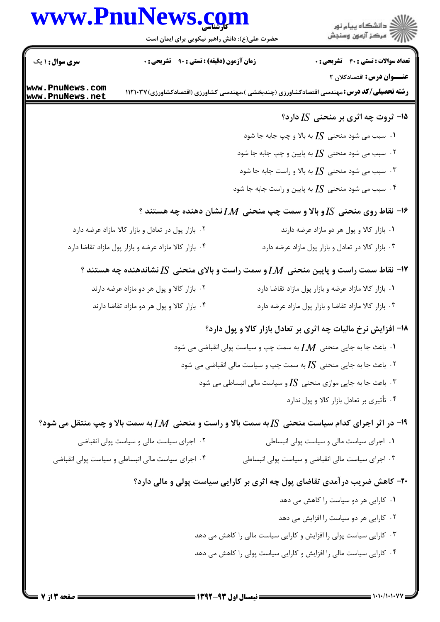## www.PnuNews.com



حضرت علی(ع): دانش راهبر نیکویی برای ایمان است

| <b>سری سوال : ۱ یک</b>                    | <b>زمان آزمون (دقیقه) : تستی : ۹۰٪ تشریحی : 0</b>     | <b>تعداد سوالات : تستی : 40 قشریحی : 0</b>                                                                     |
|-------------------------------------------|-------------------------------------------------------|----------------------------------------------------------------------------------------------------------------|
|                                           |                                                       | عنـــوان درس: اقتصادکلان ۲                                                                                     |
| www.PnuNews.com<br><u>www.PnuNews.net</u> |                                                       | <b>رشته تحصیلی/کد درس:</b> مهندسی اقتصادکشاورزی (چندبخشی )،مهندسی کشاورزی (اقتصادکشاورزی) ۱۱۲۱۰۳۷              |
|                                           |                                                       | 15- ثروت چه اثری بر منحنی $I\!S$ دارد؟                                                                         |
|                                           |                                                       | $I$ ۰۱ سبب می شود منحنی $I$ S به بالا و چپ جابه جا شود $\cdot$                                                 |
|                                           |                                                       | ۰۲ سبب می شود منحنی $I$ S به پایین و چپ جابه جا شود $\cdot$                                                    |
|                                           |                                                       | ۰۳ سبب می شود منحنی $I$ S به بالا و راست جابه جا شود $\cdot$                                                   |
|                                           |                                                       | ۰۴ سبب می شود منحنی $I$ S به پایین و راست جابه جا شود $\cdot$ ۴                                                |
|                                           |                                                       | $\,$ ۱۶ $\,$ نقاط روی منحنی $I$ رو بالا و سمت چپ منحنی $M$ نشان دهنده چه هستند $\,$                            |
|                                           | ۰۲ بازار پول در تعادل و بازار کالا مازاد عرضه دارد    | ۰۱ بازار کالا و پول هر دو مازاد عرضه دارند                                                                     |
|                                           | ۰۴ بازار کالا مازاد عرضه و بازار پول مازاد تقاضا دارد | ۰۳ بازار کالا در تعادل و بازار پول مازاد عرضه دارد                                                             |
|                                           |                                                       | $\cdot$ ۱۷- نقاط سمت راست و پایین منحنی $M$ و سمت راست و بالای منحنی $I$ نشاندهنده چه هستند $\cdot$            |
|                                           | ۰۲ بازار کالا و پول هر دو مازاد عرضه دارند            | ۰۱ بازار کالا مازاد عرضه و بازار پول مازاد تقاضا دارد                                                          |
|                                           | ۰۴ بازار کالا و پول هر دو مازاد تقاضا دارند           | ۰۳ بازار کالا مازاد تقاضا و بازار پول مازاد عرضه دارد                                                          |
|                                           |                                                       | 18- افزایش نرخ مالیات چه اثری بر تعادل بازار کالا و پول دارد؟                                                  |
|                                           |                                                       | ۰۱ باعث جا به جایی منحنی $\,M$ به سمت چپ و سیاست پولی انقباضی می شود $\,$                                      |
|                                           |                                                       | ۰۲ باعث جا به جایی منحنی $I$ S به سمت چپ و سیاست مالی انقباضی می شود $\cdot$ ۲                                 |
|                                           |                                                       | ۰۳ باعث جا به جایی موازی منحنی $I$ S و سیاست مالی انبساطی می شود $\cdot$                                       |
|                                           |                                                       | ۰۴ تأثیری بر تعادل بازار کالا و پول ندارد                                                                      |
|                                           |                                                       | ا- در اثر اجرای کدام سیاست منحنی $I$ [ به سمت بالا و راست و منحنی $M$ ] به سمت بالا و چپ منتقل می شود؟ $\cdot$ |
|                                           | ۰۲ اجرای سیاست مالی و سیاست پولی انقباضی              | ٠١ اجراى سياست مالى و سياست پولى انبساطى                                                                       |
|                                           | ۰۴ اجرای سیاست مالی انبساطی و سیاست پولی انقباضی      | ۰۳ اجرای سیاست مالی انقباضی و سیاست پولی انبساطی                                                               |
|                                           |                                                       | ۲۰- کاهش ضریب در آمدی تقاضای پول چه اثری بر کارایی سیاست پولی و مالی دارد؟                                     |
|                                           |                                                       | ۰۱ کارایی هر دو سیاست را کاهش می دهد                                                                           |
|                                           |                                                       | ۰۲ کارایی هر دو سیاست را افزایش می دهد                                                                         |
|                                           |                                                       | ۰۳ کارایی سیاست پولی را افزایش و کارایی سیاست مالی را کاهش می دهد                                              |
|                                           |                                                       | ۰۴ کارایی سیاست مالی را افزایش و کارایی سیاست پولی را کاهش می دهد                                              |
|                                           |                                                       |                                                                                                                |
|                                           |                                                       | ــــــــــ نیمسال اول ۹۳-۱۳۹۲ ـــــــ                                                                          |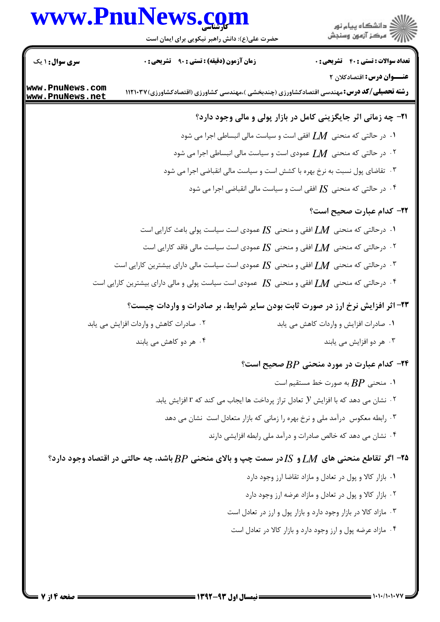## www.PnuNews.com



حضرت علی(ع): دانش راهبر نیکویی برای ایمان است

| <b>سری سوال : ۱ یک</b> | زمان آزمون (دقیقه) : تستی : ۹۰٪ تشریحی : ۰                                                                  | <b>تعداد سوالات : تستی : 40 ٪ تشریحی : 0</b>                                   |
|------------------------|-------------------------------------------------------------------------------------------------------------|--------------------------------------------------------------------------------|
| www.PnuNews.com        |                                                                                                             | عنـــوان درس: اقتصادکلان ۲                                                     |
| www.PnuNews.net        | <b>رشته تحصیلی/کد درس:</b> مهندسی اقتصادکشاورزی (چندبخشی )،مهندسی کشاورزی (اقتصادکشاورزی)۱۱۲۱۰۳۷            |                                                                                |
|                        |                                                                                                             | <b>۳۱</b> - چه زمانی اثر جایگزینی کامل در بازار پولی و مالی وجود دارد؟         |
|                        | ۰۱ در حالتی که منحنی $\,M$ افقی است و سیاست مالی انبساطی اجرا می شود .                                      |                                                                                |
|                        | ۰۲ در حالتی که منحنی $\,L\!M$ عمودی است و سیاست مالی انبساطی اجرا می شود $\,$                               |                                                                                |
|                        | ۰۳ تقاضای پول نسبت به نرخ بهره با کشش است و سیاست مالی انقباضی اجرا می شود                                  |                                                                                |
|                        |                                                                                                             | ۰۴ در حالتی که منحنی $I$ [ افقی است و سیاست مالی انقباضی اجرا می شود $\cdot$ ۴ |
|                        |                                                                                                             | ۲۲- کدام عبارت صحیح است؟                                                       |
|                        | د. درحالتی که منحنی $\bm{L}\bm{M}$ افقی و منحنی $\bm{I}$ عمودی است سیاست پولی باعث کارایی است $\bm{\cdot}$  |                                                                                |
|                        | ۰۲ درحالتی که منحنی $\,M$ افقی و منحنی $\,I\mathrm{S}$ عمودی است سیاست مالی فاقد کارایی است $\,$            |                                                                                |
|                        | ۰۳ درحالتی که منحنی $\bm{L}\bm{M}$ افقی و منحنی $I$ S عمودی است سیاست مالی دارای بیشترین کارایی است $\cdot$ |                                                                                |
|                        | ۰۴ درحالتی که منحنی $LM$ افقی و منحنی $I$ S عمودی است سیاست پولی و مالی دارای بیشترین کارایی است $\cdot$ ۴  |                                                                                |
|                        | ۲۳- اثر افزایش نرخ ارز در صورت ثابت بودن سایر شرایط، بر صادرات و واردات چیست؟                               |                                                                                |
|                        | ۰۲ صادرات کاهش و واردات افزایش می یابد                                                                      | ۰۱ صادرات افزایش و واردات کاهش می یابد                                         |
|                        | ۰۴ هر دو کاهش می یابند                                                                                      | ۰۳ هر دو افزایش می یابند                                                       |
|                        |                                                                                                             | ۰۲۴ کدام عبارت در مورد منحنی $BP$ صحیح است؟                                    |
|                        |                                                                                                             | ا.  منحنی $BP$ به صورت خط مستقیم است $\,$                                      |
|                        | $\cdot$ نشان می دهد که با افزایش ${\cal Y}$ تعادل تراز پرداخت ها ایجاب می کند که ۲ افزایش یابد. $\cdot$     |                                                                                |
|                        | ۰۳ رابطه معکوس درآمد ملی و نرخ بهره را زمانی که بازار متعادل است نشان می دهد                                |                                                                                |
|                        |                                                                                                             | ۰۴ نشان می دهد که خالص صادرات و درآمد ملی رابطه افزایشی دارند                  |
|                        | ۹۵– اگر تقاطع منحنی های $LM$ و $S$ در سمت چپ و بالای منحنی $BP$ باشد، چه حالتی در اقتصاد وجود دارد؟         |                                                                                |
|                        |                                                                                                             | ٠١ بازار كالا و پول در تعادل و مازاد تقاضا ارز وجود دارد                       |
|                        |                                                                                                             | ۰۲ بازار کالا و پول در تعادل و مازاد عرضه ارز وجود دارد                        |
|                        |                                                                                                             | ۰۳ مازاد کالا در بازار وجود دارد و بازار پول و ارز در تعادل است                |
|                        |                                                                                                             | ۰۴ مازاد عرضه پول و ارز وجود دارد و بازار کالا در تعادل است                    |
|                        |                                                                                                             |                                                                                |

 $1.1.11.1.1.$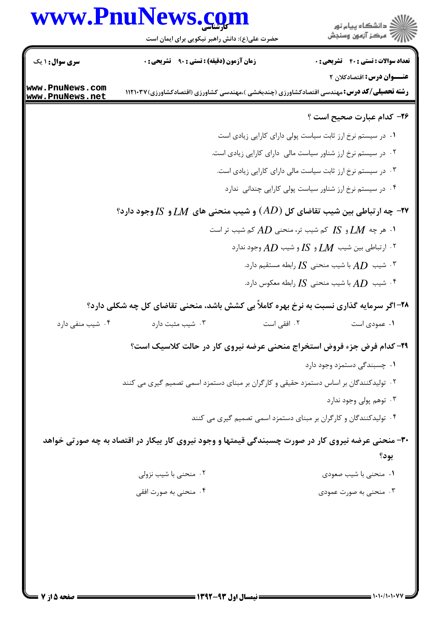## كارشناسي **[www.PnuNews.com](http://www.PnuNews.com)**



حضرت علي(ع): دانش راهبر نيكويي براي ايمان است

**عنـــوان درس:** اقتصادکلان ۲ **رشته تحصیلی/کد درس:**مهندسی اقتصادکشاورزی (چندبخشی )،مهندسی کشاورزی (اقتصادکشاورزی)۱۱۲۱۰۳۷ نعداد سوالات : تستي : 40 ٪ تشريحي : . زمان آزمون (دقيقه) : تستي : ٩٠ ٪ تشريحي : . سري سوال : ١ يك ۲۶– کدام عبارت صحیح است ؟ ا . در سیستم نرخ ارز ثابت سیاست پولی دارای کارایی زیادی است ۰۲ در سیستم نرخ ارز شناور سیاست مالی دارای کارایی زیادی است. ۰۳ در سیستم نرخ ارز ثابت سیاست مالی دارای کارایی زیادی است. ۰۴ در سیستم نرخ ارز شناور سیاست پولی کارایی چندانی ندارد ۴۳- چه ارتباطی بین شیب تقاضای کل  $(AD)$  و شیب منحنی های  $\emph{LM}$  و  $S$  وجود دارد؟ - 
% 7" RN *AD* J Z
% 7" RN *IS* D *LM* , % .  $B$ ۰۲ ارتباطی بین شیب  $\emph{LM}$  و  $IS$  و شیب  $AD$  وجود ندارد  $^{\mathsf{r}}$ ا شیب  $AD$  با شیب منحنی  $I$ S رابطه مستقیم دارد.  $\Lambda D$ شیب  $AD$  با شیب منحنی  $I$ S رابطه معکوس دارد. **\*** ۲۸- اگر سرمایه گذاری نسبت به نرخ بهره کاملاً بی کشش باشد، منحنی تقاضای کل چه شکلی دارد؟ 7" 8i 7" -/ . - % . . . . ۰۲ افقے است ۰۱ عمودی است **۲۹- کدام فرض جزء فروض استخراج منحنی عرضه نیروی کار در حالت کلاسیک است؟** ۰۱ چسبندگی دستمزد وجود دارد ۰۲ تولیدکنندگان بر اساس دستمزد حقیقی و کارگران بر مبنای دستمزد اسمی تصمیم گیری می کنند ۰۳ توهم پولی وجود ندارد ۰۴ تولیدکنندگان و کارگران بر مبنای دستمزد اسمی تصمیم گیری می کنند ۳۰- منحنی عرضه نیروی کار در صورت چسبندگی قیمتها و وجود نیروی کار بیکار در اقتصاد به چه صورتی خواهد بود؟ ۰۲ منحنی با شیب نزولی J &: 7" J - % . . ۴ . منحنی به صورت افقی / . . . **[www.PnuNews.com](http://pnunews.com) [www.PnuNews.net](http://pnunews.net)**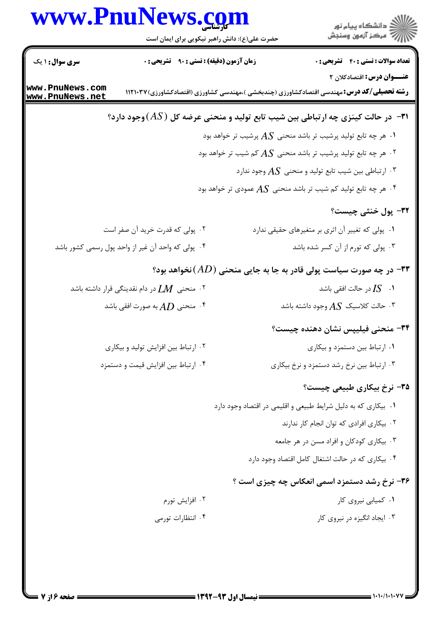|                                    | www.PnuNews.com<br>حضرت علی(ع): دانش راهبر نیکویی برای ایمان است | ر دانشڪاه پيام نور<br>اڳ مرڪز آزمون وسنڊش                                                                                              |
|------------------------------------|------------------------------------------------------------------|----------------------------------------------------------------------------------------------------------------------------------------|
| <b>سری سوال :</b> ۱ یک             | زمان آزمون (دقیقه) : تستی : ۹۰٪ تشریحی : ۰                       | <b>تعداد سوالات : تستی : 40 ٪ تشریحی : 0</b>                                                                                           |
| www.PnuNews.com<br>www.PnuNews.net |                                                                  | <b>عنـــوان درس:</b> اقتصادکلان ۲<br><b>رشته تحصیلی/کد درس:</b> مهندسی اقتصادکشاورزی (چندبخشی )،مهندسی کشاورزی (اقتصادکشاورزی) ۱۱۲۱۰۳۷ |
|                                    |                                                                  | ۰۳۱ در حالت کینزی چه ارتباطی بین شیب تابع تولید و منحنی عرضه کل $(AS)$ وجود دارد $\bullet$                                             |
|                                    |                                                                  | . هر چه تابع تولید پرشیب تر باشد منحنی $AS$ پرشیب تر خواهد بود $\Lambda S$                                                             |
|                                    |                                                                  | ۰۲ هر چه تابع تولید پرشیب تر باشد منحنی $AS$ کم شیب تر خواهد بود $\cdot$                                                               |
|                                    |                                                                  | ۰۳ ارتباطی بین شیب تابع تولید و منحنی $AS$ وجود ندارد $\cdot$                                                                          |
|                                    |                                                                  | ۰۴ هر چه تابع تولید کم شیب تر باشد منحنی $AS$ عمودی تر خواهد بود.                                                                      |
|                                    |                                                                  | ٣٢- پول خنثی چیست؟                                                                                                                     |
|                                    | ۰۲ پولی که قدرت خرید آن صفر است                                  | ۰۱ پولی که تغییر آن اثری بر متغیرهای حقیقی ندارد                                                                                       |
|                                    | ۰۴ پولی که واحد آن غیر از واحد پول رسمی کشور باشد                | ۰۳ پولی که تورم از آن کسر شده باشد                                                                                                     |
|                                    |                                                                  | ۰۳۳ در چه صورت سیاست پولی قادر به جا به جایی منحنی $(AD)$ نخواهد بود $\bullet$                                                         |
|                                    | ۰۲ منحنی $\,M\,$ در دام نقدینگی قرار داشته باشد $\,$             | در حالت افقی باشد $IS$ $\cdot$ $\cdot$                                                                                                 |
|                                    | شحنی $AD$ به صورت افقی باشد $\cdot$ ۴                            | ۰۳ حالت کلاسیک $AS$ وجود داشته باشد.                                                                                                   |
|                                    |                                                                  | ۳۴- منحنی فیلیپس نشان دهنده چیست؟                                                                                                      |
|                                    | ۰۲ ارتباط بین افزایش تولید و بیکاری                              | ۰۱ ارتباط بین دستمزد و بیکاری                                                                                                          |
|                                    | ۰۴ ارتباط بين افزايش قيمت و دستمزد                               | ۰۳ ارتباط بین نرخ رشد دستمزد و نرخ بیکاری                                                                                              |
|                                    |                                                                  | ۳۵– نرخ بیکاری طبیعی چیست؟                                                                                                             |
|                                    |                                                                  | ۰۱ بیکاری که به دلیل شرایط طبیعی و اقلیمی در اقتصاد وجود دارد                                                                          |
|                                    |                                                                  | ٠٢ بيكارى افرادى كه توان انجام كار ندارند                                                                                              |
|                                    |                                                                  | ۰۳ بیکاری کودکان و افراد مسن در هر جامعه                                                                                               |
|                                    |                                                                  | ۰۴ بیکاری که در حالت اشتغال کامل اقتصاد وجود دارد                                                                                      |
|                                    |                                                                  | ۳۶- نرخ رشد دستمزد اسمی انعکاس چه چیزی است ؟                                                                                           |
|                                    | ۰۲ افزايش تورم                                                   | ۰۱ کمیابی نیروی کار                                                                                                                    |
|                                    | ۰۴ انتظارات تورمی                                                | ۰۳ ایجاد انگیزه در نیروی کار                                                                                                           |
|                                    |                                                                  |                                                                                                                                        |